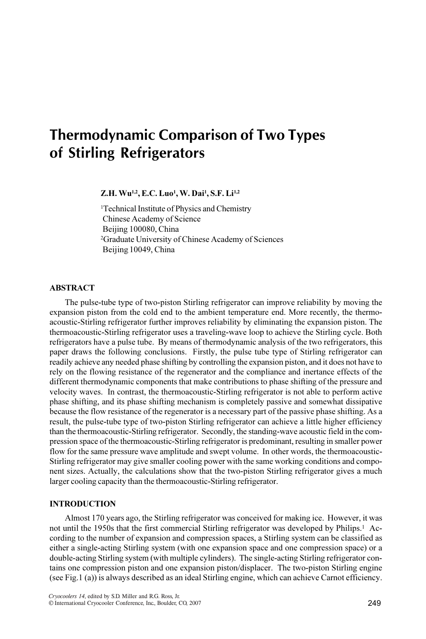# Thermodynamic Comparison of Two Types of Stirling Refrigerators

# Z.H. Wu<sup>1,2</sup>, E.C. Luo<sup>1</sup>, W. Dai<sup>1</sup>, S.F. Li<sup>1,2</sup>

1 Technical Institute of Physics and Chemistry Chinese Academy of Science Beijing 100080, China 2 Graduate University of Chinese Academy of Sciences Beijing 10049, China

## ABSTRACT

The pulse-tube type of two-piston Stirling refrigerator can improve reliability by moving the expansion piston from the cold end to the ambient temperature end. More recently, the thermoacoustic-Stirling refrigerator further improves reliability by eliminating the expansion piston. The thermoacoustic-Stirling refrigerator uses a traveling-wave loop to achieve the Stirling cycle. Both refrigerators have a pulse tube. By means of thermodynamic analysis of the two refrigerators, this paper draws the following conclusions. Firstly, the pulse tube type of Stirling refrigerator can readily achieve any needed phase shifting by controlling the expansion piston, and it does not have to rely on the flowing resistance of the regenerator and the compliance and inertance effects of the different thermodynamic components that make contributions to phase shifting of the pressure and velocity waves. In contrast, the thermoacoustic-Stirling refrigerator is not able to perform active phase shifting, and its phase shifting mechanism is completely passive and somewhat dissipative because the flow resistance of the regenerator is a necessary part of the passive phase shifting. As a result, the pulse-tube type of two-piston Stirling refrigerator can achieve a little higher efficiency than the thermoacoustic-Stirling refrigerator. Secondly, the standing-wave acoustic field in the compression space of the thermoacoustic-Stirling refrigerator is predominant, resulting in smaller power flow for the same pressure wave amplitude and swept volume. In other words, the thermoacoustic-Stirling refrigerator may give smaller cooling power with the same working conditions and component sizes. Actually, the calculations show that the two-piston Stirling refrigerator gives a much larger cooling capacity than the thermoacoustic-Stirling refrigerator.

# **INTRODUCTION**

Almost 170 years ago, the Stirling refrigerator was conceived for making ice. However, it was not until the 1950s that the first commercial Stirling refrigerator was developed by Philips.<sup>1</sup> According to the number of expansion and compression spaces, a Stirling system can be classified as either a single-acting Stirling system (with one expansion space and one compression space) or a double-acting Stirling system (with multiple cylinders). The single-acting Stirling refrigerator contains one compression piston and one expansion piston/displacer. The two-piston Stirling engine (see Fig.1 (a)) is always described as an ideal Stirling engine, which can achieve Carnot efficiency.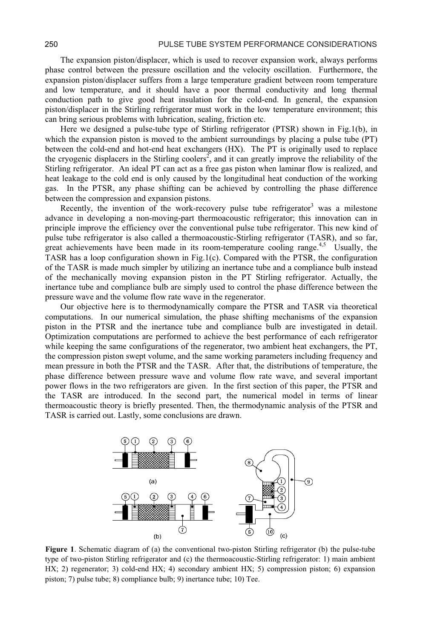The expansion piston/displacer, which is used to recover expansion work, always performs phase control between the pressure oscillation and the velocity oscillation. Furthermore, the expansion piston/displacer suffers from a large temperature gradient between room temperature and low temperature, and it should have a poor thermal conductivity and long thermal conduction path to give good heat insulation for the cold-end. In general, the expansion piston/displacer in the Stirling refrigerator must work in the low temperature environment; this can bring serious problems with lubrication, sealing, friction etc.

Here we designed a pulse-tube type of Stirling refrigerator (PTSR) shown in Fig.1(b), in which the expansion piston is moved to the ambient surroundings by placing a pulse tube (PT) between the cold-end and hot-end heat exchangers (HX). The PT is originally used to replace the cryogenic displacers in the Stirling coolers<sup>2</sup>, and it can greatly improve the reliability of the Stirling refrigerator. An ideal PT can act as a free gas piston when laminar flow is realized, and heat leakage to the cold end is only caused by the longitudinal heat conduction of the working gas. In the PTSR, any phase shifting can be achieved by controlling the phase difference between the compression and expansion pistons.

Recently, the invention of the work-recovery pulse tube refrigerator<sup>3</sup> was a milestone advance in developing a non-moving-part thermoacoustic refrigerator; this innovation can in principle improve the efficiency over the conventional pulse tube refrigerator. This new kind of pulse tube refrigerator is also called a thermoacoustic-Stirling refrigerator (TASR), and so far, great achievements have been made in its room-temperature cooling range.<sup>4,5</sup> Usually, the TASR has a loop configuration shown in Fig.1(c). Compared with the PTSR, the configuration of the TASR is made much simpler by utilizing an inertance tube and a compliance bulb instead of the mechanically moving expansion piston in the PT Stirling refrigerator. Actually, the inertance tube and compliance bulb are simply used to control the phase difference between the pressure wave and the volume flow rate wave in the regenerator.

Our objective here is to thermodynamically compare the PTSR and TASR via theoretical computations. In our numerical simulation, the phase shifting mechanisms of the expansion piston in the PTSR and the inertance tube and compliance bulb are investigated in detail. Optimization computations are performed to achieve the best performance of each refrigerator while keeping the same configurations of the regenerator, two ambient heat exchangers, the PT, the compression piston swept volume, and the same working parameters including frequency and mean pressure in both the PTSR and the TASR. After that, the distributions of temperature, the phase difference between pressure wave and volume flow rate wave, and several important power flows in the two refrigerators are given. In the first section of this paper, the PTSR and the TASR are introduced. In the second part, the numerical model in terms of linear thermoacoustic theory is briefly presented. Then, the thermodynamic analysis of the PTSR and TASR is carried out. Lastly, some conclusions are drawn.



Figure 1. Schematic diagram of (a) the conventional two-piston Stirling refrigerator (b) the pulse-tube type of two-piston Stirling refrigerator and (c) the thermoacoustic-Stirling refrigerator: 1) main ambient  $HX$ ; 2) regenerator; 3) cold-end  $HX$ ; 4) secondary ambient  $HX$ ; 5) compression piston; 6) expansion piston; 7) pulse tube; 8) compliance bulb; 9) inertance tube; 10) Tee.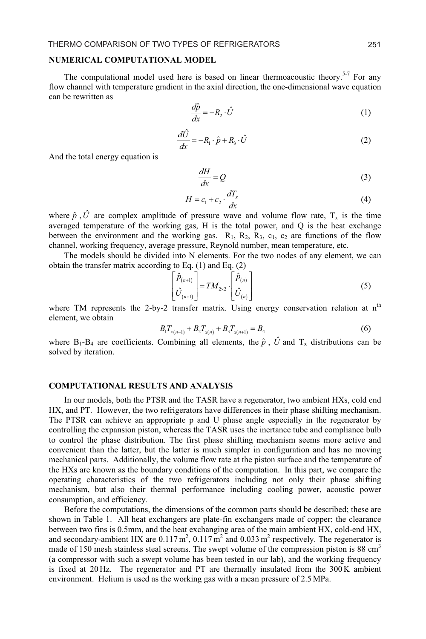#### NUMERICAL COMPUTATIONAL MODEL

The computational model used here is based on linear thermoacoustic theory.<sup>5-7</sup> For any flow channel with temperature gradient in the axial direction, the one-dimensional wave equation can be rewritten as

$$
\frac{d\hat{p}}{dx} = -R_2 \cdot \hat{U} \tag{1}
$$

$$
\frac{d\hat{U}}{dx} = -R_1 \cdot \hat{p} + R_3 \cdot \hat{U}
$$
 (2)

And the total energy equation is

$$
\frac{dH}{dx} = Q\tag{3}
$$

$$
H = c_1 + c_2 \cdot \frac{dT_x}{dx} \tag{4}
$$

where  $\hat{p}$ ,  $\hat{U}$  are complex amplitude of pressure wave and volume flow rate,  $T_x$  is the time averaged temperature of the working gas, H is the total power, and Q is the heat exchange between the environment and the working gas.  $R_1$ ,  $R_2$ ,  $R_3$ ,  $c_1$ ,  $c_2$  are functions of the flow channel, working frequency, average pressure, Reynold number, mean temperature, etc.

The models should be divided into N elements. For the two nodes of any element, we can obtain the transfer matrix according to Eq.  $(1)$  and Eq.  $(2)$ 

$$
\begin{bmatrix}\n\hat{P}_{(n+1)} \\
\hat{U}_{(n+1)}\n\end{bmatrix} = TM_{2\times 2} \cdot \begin{bmatrix}\n\hat{P}_{(n)} \\
\hat{U}_{(n)}\n\end{bmatrix}
$$
\n(5)

where TM represents the 2-by-2 transfer matrix. Using energy conservation relation at n<sup>th</sup> element, we obtain

$$
B_1 T_{x(n-1)} + B_2 T_{x(n)} + B_3 T_{x(n+1)} = B_4 \tag{6}
$$

where B<sub>1</sub>-B<sub>4</sub> are coefficients. Combining all elements, the  $\hat{p}$ ,  $\hat{U}$  and T<sub>x</sub> distributions can be solved by iteration.

#### **COMPUTATIONAL RESULTS AND ANALYSIS**

In our models, both the PTSR and the TASR have a regenerator, two ambient HXs, cold end HX, and PT. However, the two refrigerators have differences in their phase shifting mechanism. The PTSR can achieve an appropriate p and U phase angle especially in the regenerator by controlling the expansion piston, whereas the TASR uses the inertance tube and compliance bulb to control the phase distribution. The first phase shifting mechanism seems more active and convenient than the latter, but the latter is much simpler in configuration and has no moving mechanical parts. Additionally, the volume flow rate at the piston surface and the temperature of the HXs are known as the boundary conditions of the computation. In this part, we compare the operating characteristics of the two refrigerators including not only their phase shifting mechanism, but also their thermal performance including cooling power, acoustic power consumption, and efficiency.

Before the computations, the dimensions of the common parts should be described; these are shown in Table 1. All heat exchangers are plate-fin exchangers made of copper; the clearance between two fins is 0.5mm, and the heat exchanging area of the main ambient HX, cold-end HX, and secondary-ambient HX are  $0.117 \text{ m}^2$ ,  $0.117 \text{ m}^2$  and  $0.033 \text{ m}^2$  respectively. The regenerator is made of 150 mesh stainless steal screens. The swept volume of the compression piston is 88 cm<sup>3</sup> (a compressor with such a swept volume has been tested in our lab), and the working frequency is fixed at 20 Hz. The regenerator and PT are thermally insulated from the 300K ambient environment. Helium is used as the working gas with a mean pressure of 2.5 MPa.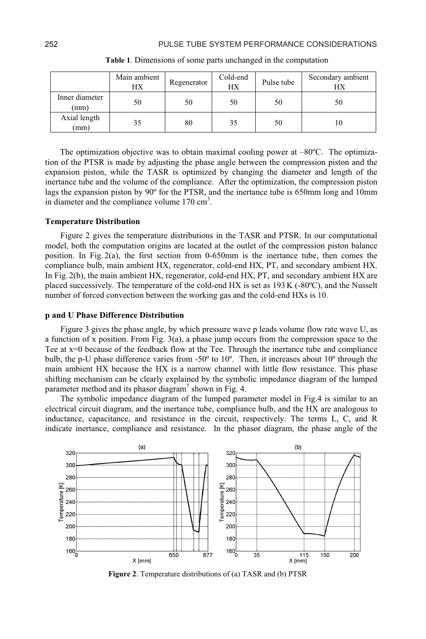|                        | Main ambient<br>HХ | Regenerator | Cold-end<br>HX | Pulse tube | Secondary ambient<br>НX |
|------------------------|--------------------|-------------|----------------|------------|-------------------------|
| Inner diameter<br>(mm) | 50                 | 50          | 50             | 50         | 50                      |
| Axial length<br>(mm)   | 35                 | 80          | 35             | 50         | 10                      |

Table 1. Dimensions of some parts unchanged in the computation

The optimization objective was to obtain maximal cooling power at  $-80^{\circ}$ C. The optimization of the PTSR is made by adjusting the phase angle between the compression piston and the expansion piston, while the TASR is optimized by changing the diameter and length of the inertance tube and the volume of the compliance. After the optimization, the compression piston lags the expansion piston by 90° for the PTSR, and the inertance tube is 650mm long and 10mm in diameter and the compliance volume  $170 \text{ cm}^3$ .

#### **Temperature Distribution**

Figure 2 gives the temperature distributions in the TASR and PTSR. In our computational model, both the computation origins are located at the outlet of the compression piston balance position. In Fig.  $2(a)$ , the first section from 0-650mm is the inertance tube, then comes the compliance bulb, main ambient HX, regenerator, cold-end HX, PT, and secondary ambient HX. In Fig. 2(b), the main ambient HX, regenerator, cold-end HX, PT, and secondary ambient HX are placed successively. The temperature of the cold-end HX is set as 193 K (-80°C), and the Nusselt number of forced convection between the working gas and the cold-end HXs is 10.

### **p** and U Phase Difference Distribution

Figure 3 gives the phase angle, by which pressure wave p leads volume flow rate wave U, as a function of x position. From Fig. 3(a), a phase jump occurs from the compression space to the Tee at x=0 because of the feedback flow at the Tee. Through the inertance tube and compliance bulb, the p-U phase difference varies from -50 $^{\circ}$  to 10 $^{\circ}$ . Then, it increases about 10 $^{\circ}$  through the main ambient HX because the HX is a narrow channel with little flow resistance. This phase shifting mechanism can be clearly explained by the symbolic impedance diagram of the lumped parameter method and its phasor diagram<sup>7</sup> shown in Fig. 4.

The symbolic impedance diagram of the lumped parameter model in Fig.4 is similar to an electrical circuit diagram, and the inertance tube, compliance bulb, and the HX are analogous to inductance, capacitance, and resistance in the circuit, respectively. The terms L, C, and R indicate inertance, compliance and resistance. In the phasor diagram, the phase angle of the



Figure 2. Temperature distributions of (a) TASR and (b) PTSR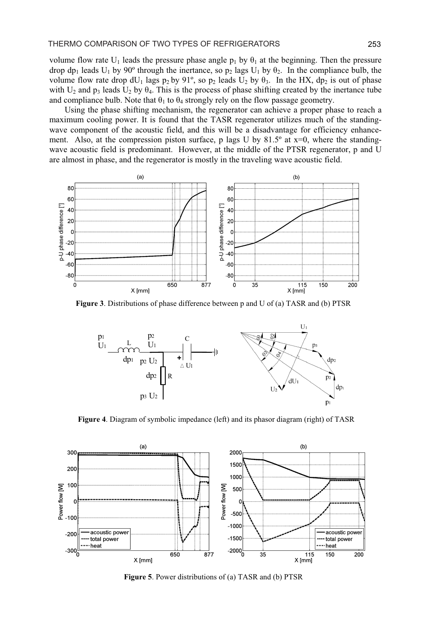volume flow rate U<sub>1</sub> leads the pressure phase angle  $p_1$  by  $\theta_1$  at the beginning. Then the pressure drop dp<sub>1</sub> leads  $U_1$  by 90° through the inertance, so p<sub>2</sub> lags  $U_1$  by  $\theta_2$ . In the compliance bulb, the volume flow rate drop  $dU_1$  lags  $p_2$  by 91°, so  $p_2$  leads  $U_2$  by  $\theta_3$ . In the HX,  $dp_2$  is out of phase with  $U_2$  and  $p_3$  leads  $U_2$  by  $\theta_4$ . This is the process of phase shifting created by the inertance tube and compliance bulb. Note that  $\theta_1$  to  $\theta_4$  strongly rely on the flow passage geometry.

Using the phase shifting mechanism, the regenerator can achieve a proper phase to reach a maximum cooling power. It is found that the TASR regenerator utilizes much of the standingwave component of the acoustic field, and this will be a disadvantage for efficiency enhancement. Also, at the compression piston surface, p lags U by 81.5° at x=0, where the standingwave acoustic field is predominant. However, at the middle of the PTSR regenerator, p and U are almost in phase, and the regenerator is mostly in the traveling wave acoustic field.



Figure 3. Distributions of phase difference between p and U of (a) TASR and (b) PTSR



Figure 4. Diagram of symbolic impedance (left) and its phasor diagram (right) of TASR



Figure 5. Power distributions of (a) TASR and (b) PTSR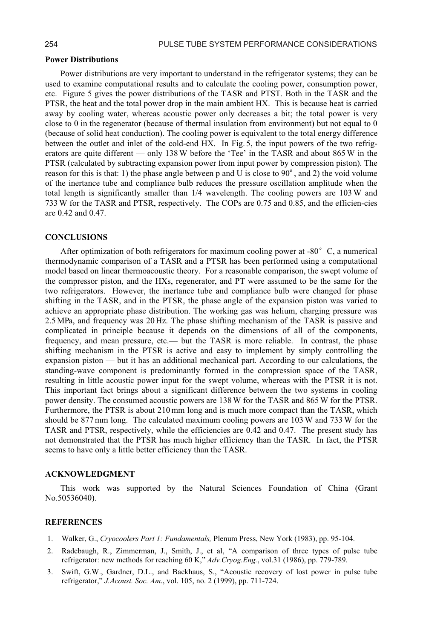#### **Power Distributions**

Power distributions are very important to understand in the refrigerator systems; they can be used to examine computational results and to calculate the cooling power, consumption power, etc. Figure 5 gives the power distributions of the TASR and PTST. Both in the TASR and the PTSR, the heat and the total power drop in the main ambient HX. This is because heat is carried away by cooling water, whereas acoustic power only decreases a bit; the total power is very close to 0 in the regenerator (because of thermal insulation from environment) but not equal to 0 (because of solid heat conduction). The cooling power is equivalent to the total energy difference between the outlet and inlet of the cold-end HX. In Fig. 5, the input powers of the two refrigerators are quite different — only 138 W before the 'Tee' in the TASR and about 865 W in the PTSR (calculated by subtracting expansion power from input power by compression piston). The reason for this is that: 1) the phase angle between p and U is close to  $90^{\circ}$ , and 2) the void volume of the inertance tube and compliance bulb reduces the pressure oscillation amplitude when the total length is significantly smaller than  $1/4$  wavelength. The cooling powers are  $103 W$  and 733 W for the TASR and PTSR, respectively. The COPs are 0.75 and 0.85, and the efficien-cies are 0.42 and 0.47.

#### **CONCLUSIONS**

After optimization of both refrigerators for maximum cooling power at -80 $^{\circ}$  C, a numerical thermodynamic comparison of a TASR and a PTSR has been performed using a computational model based on linear thermoacoustic theory. For a reasonable comparison, the swept volume of the compressor piston, and the HXs, regenerator, and PT were assumed to be the same for the two refrigerators. However, the inertance tube and compliance bulb were changed for phase shifting in the TASR, and in the PTSR, the phase angle of the expansion piston was varied to achieve an appropriate phase distribution. The working gas was helium, charging pressure was 2.5 MPa, and frequency was 20 Hz. The phase shifting mechanism of the TASR is passive and complicated in principle because it depends on the dimensions of all of the components, frequency, and mean pressure, etc.— but the TASR is more reliable. In contrast, the phase shifting mechanism in the PTSR is active and easy to implement by simply controlling the expansion piston — but it has an additional mechanical part. According to our calculations, the standing-wave component is predominantly formed in the compression space of the TASR, resulting in little acoustic power input for the swept volume, whereas with the PTSR it is not. This important fact brings about a significant difference between the two systems in cooling power density. The consumed acoustic powers are 138 W for the TASR and 865 W for the PTSR. Furthermore, the PTSR is about 210 mm long and is much more compact than the TASR, which should be 877 mm long. The calculated maximum cooling powers are 103 W and 733 W for the TASR and PTSR, respectively, while the efficiencies are 0.42 and 0.47. The present study has not demonstrated that the PTSR has much higher efficiency than the TASR. In fact, the PTSR seems to have only a little better efficiency than the TASR.

#### **ACKNOWLEDGMENT**

This work was supported by the Natural Sciences Foundation of China (Grant No.50536040).

#### **REFERENCES**

- 1. Walker, G., Cryocoolers Part 1: Fundamentals, Plenum Press, New York (1983), pp. 95-104.
- 2. Radebaugh, R., Zimmerman, J., Smith, J., et al, "A comparison of three types of pulse tube refrigerator: new methods for reaching 60 K," Adv. Cryog. Eng., vol.31 (1986), pp. 779-789.
- 3. Swift, G.W., Gardner, D.L., and Backhaus, S., "Acoustic recovery of lost power in pulse tube refrigerator," J.Acoust. Soc. Am., vol. 105, no. 2 (1999), pp. 711-724.